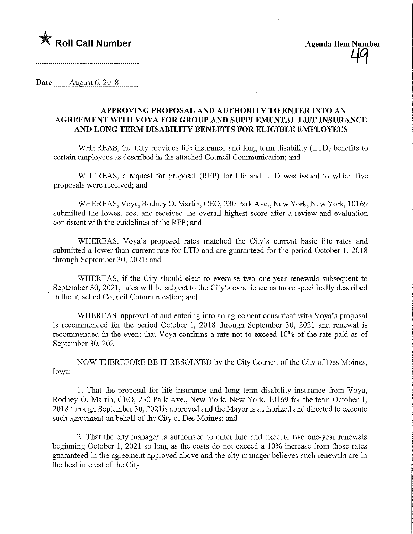

Date ........August 6^2018,

## APPROVING PROPOSAL AND AUTHORITY TO ENTER INTO AN AGREEMENT WITH VOYA FOR GROUP AND SUPPLEMENTAL UFE INSURANCE AND LONG TERM DISABILITY BENEFITS FOR ELIGIBLE EMPLOYEES

WHEREAS, the City provides life insurance and long term disability (LTD) benefits to certain employees as described in the attached Council Communication; and

WHEREAS, a request for proposal (RFP) for life and LTD was issued to which five proposals were received; and

WHEREAS, Voya, Rodney 0. Martin, CEO, 230 Park Ave., New York, New York, 10169 submitted the lowest cost and received the overall highest score after a review and evaluation consistent with the guidelines of the RFP; and

WHEREAS, Voya's proposed rates matched the City's current basic life rates and submitted a lower than current rate for LTD and are guaranteed for the period October 1, 2018 through September 30, 2021; and

WHEREAS, if the City should elect to exercise two one-year renewals subsequent to September 30, 2021, rates will be subject to the City's experience as more specifically described in the attached Council Communication; and

WHEREAS, approval of and entering into an agreement consistent with Voya's proposal is recommended for the period October 1, 2018 through September 30, 2021 and renewal is recommended in the event that Voya confirms a rate not to exceed 10% of the rate paid as of September 30, 2021.

NOW THEREFORE BE IT RESOLVED by the City Council of the City of Des Moines, Iowa:

1. That the proposal for life insurance and long term disability insurance from Voya, Rodney 0. Martin, CEO, 230 Park Ave., New York, New York, 10169 for the term October 1, 2018 through September 30, 2021 is approved and the Mayor is authorized and directed to execute such agreement on behalf of the City of Des Moines; and

2. That the city manager is authorized to enter into and execute two one-year renewals beginning October 1, 2021 so long as the costs do not exceed a 10% increase from those rates guaranteed in the agreement approved above and the city manager believes such renewals are in the best interest of the City.